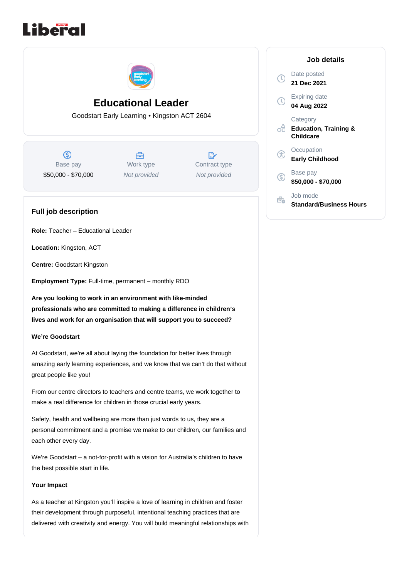



**Educational Leader**

Goodstart Early Learning • Kingston ACT 2604

 $\circledS$ Base pay \$50,000 - \$70,000

合 Work type Not provided

 $\mathbb{R}^*$ Contract type Not provided

# **Full job description**

**Role:** Teacher – Educational Leader

**Location:** Kingston, ACT

**Centre:** Goodstart Kingston

**Employment Type:** Full-time, permanent – monthly RDO

**Are you looking to work in an environment with like-minded professionals who are committed to making a difference in children's lives and work for an organisation that will support you to succeed?** 

#### **We're Goodstart**

At Goodstart, we're all about laying the foundation for better lives through amazing early learning experiences, and we know that we can't do that without great people like you!

From our centre directors to teachers and centre teams, we work together to make a real difference for children in those crucial early years.

Safety, health and wellbeing are more than just words to us, they are a personal commitment and a promise we make to our children, our families and each other every day.

We're Goodstart – a not-for-profit with a vision for Australia's children to have the best possible start in life.

#### **Your Impact**

As a teacher at Kingston you'll inspire a love of learning in children and foster their development through purposeful, intentional teaching practices that are delivered with creativity and energy. You will build meaningful relationships with

|                | Job details                                               |
|----------------|-----------------------------------------------------------|
| $(\mathbb{C})$ | Date posted<br>21 Dec 2021                                |
| Ţ              | <b>Expiring date</b><br>04 Aug 2022                       |
|                | Category<br><b>Education, Training &amp;</b><br>Childcare |
|                | Occupation<br>Early Childhood                             |
| G              | Base pay<br>\$50,000 - \$70,000                           |
|                | Job mode<br>Standard/Business Hours                       |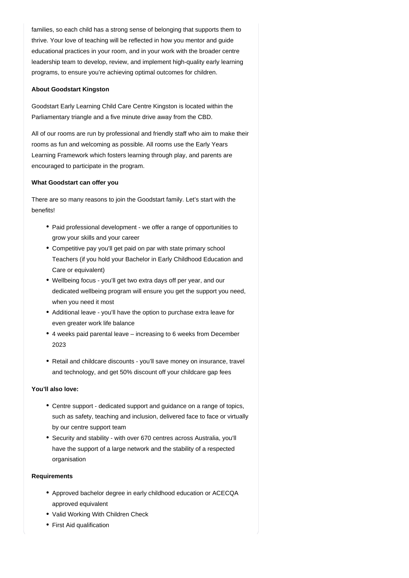families, so each child has a strong sense of belonging that supports them to thrive. Your love of teaching will be reflected in how you mentor and guide educational practices in your room, and in your work with the broader centre leadership team to develop, review, and implement high-quality early learning programs, to ensure you're achieving optimal outcomes for children.

### **About Goodstart Kingston**

Goodstart Early Learning Child Care Centre Kingston is located within the Parliamentary triangle and a five minute drive away from the CBD.

All of our rooms are run by professional and friendly staff who aim to make their rooms as fun and welcoming as possible. All rooms use the Early Years Learning Framework which fosters learning through play, and parents are encouraged to participate in the program.

#### **What Goodstart can offer you**

There are so many reasons to join the Goodstart family. Let's start with the benefits!

- Paid professional development we offer a range of opportunities to grow your skills and your career
- Competitive pay you'll get paid on par with state primary school Teachers (if you hold your Bachelor in Early Childhood Education and Care or equivalent)
- Wellbeing focus you'll get two extra days off per year, and our dedicated wellbeing program will ensure you get the support you need, when you need it most
- Additional leave you'll have the option to purchase extra leave for even greater work life balance
- 4 weeks paid parental leave increasing to 6 weeks from December 2023
- Retail and childcare discounts you'll save money on insurance, travel and technology, and get 50% discount off your childcare gap fees

### **You'll also love:**

- Centre support dedicated support and guidance on a range of topics, such as safety, teaching and inclusion, delivered face to face or virtually by our centre support team
- Security and stability with over 670 centres across Australia, you'll have the support of a large network and the stability of a respected organisation

#### **Requirements**

- Approved bachelor degree in early childhood education or ACECQA approved equivalent
- Valid Working With Children Check
- First Aid qualification